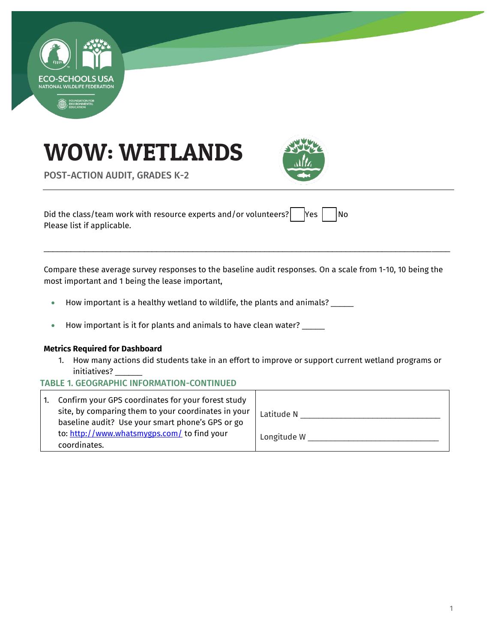





POST-ACTION AUDIT, GRADES K-2

Did the class/team work with resource experts and/or volunteers?  $\begin{bmatrix} \gamma e \end{bmatrix}$   $\begin{bmatrix} N\alpha \\ \gamma e \end{bmatrix}$ Please list if applicable.

Compare these average survey responses to the baseline audit responses. On a scale from 1-10, 10 being the most important and 1 being the lease important,

\_\_\_\_\_\_\_\_\_\_\_\_\_\_\_\_\_\_\_\_\_\_\_\_\_\_\_\_\_\_\_\_\_\_\_\_\_\_\_\_\_\_\_\_\_\_\_\_\_\_\_\_\_\_\_\_\_\_\_\_\_\_\_\_\_\_\_\_\_\_\_\_\_\_\_\_\_\_\_\_\_\_\_\_\_\_\_\_\_\_

- How important is a healthy wetland to wildlife, the plants and animals? \_\_\_\_\_
- How important is it for plants and animals to have clean water? \_\_\_\_\_

#### **Metrics Required for Dashboard**

1. How many actions did students take in an effort to improve or support current wetland programs or initiatives? \_\_\_\_\_\_

#### TABLE 1. GEOGRAPHIC INFORMATION-CONTINUED

| $\mathbf{1}$ . | Confirm your GPS coordinates for your forest study<br>site, by comparing them to your coordinates in your<br>baseline audit? Use your smart phone's GPS or go | Latitude N  |
|----------------|---------------------------------------------------------------------------------------------------------------------------------------------------------------|-------------|
|                | to: http://www.whatsmygps.com/ to find your<br>coordinates.                                                                                                   | Longitude W |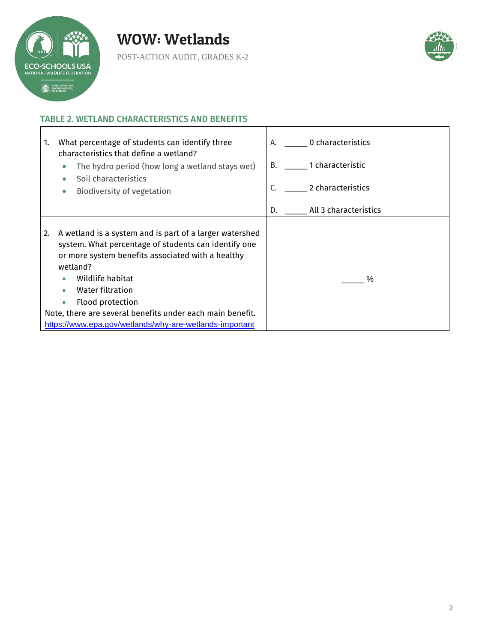



٦

# TABLE 2. WETLAND CHARACTERISTICS AND BENEFITS

| What percentage of students can identify three<br>1.<br>characteristics that define a wetland?                                                                                                                                                                                                                                                                                          | 0 characteristics<br>А.     |
|-----------------------------------------------------------------------------------------------------------------------------------------------------------------------------------------------------------------------------------------------------------------------------------------------------------------------------------------------------------------------------------------|-----------------------------|
| The hydro period (how long a wetland stays wet)<br>$\bullet$                                                                                                                                                                                                                                                                                                                            | 1 characteristic<br>B.      |
| Soil characteristics<br>Biodiversity of vegetation<br>$\bullet$                                                                                                                                                                                                                                                                                                                         | 2 characteristics<br>C.     |
|                                                                                                                                                                                                                                                                                                                                                                                         | All 3 characteristics<br>D. |
| A wetland is a system and is part of a larger watershed<br>2.<br>system. What percentage of students can identify one<br>or more system benefits associated with a healthy<br>wetland?<br>Wildlife habitat<br>Water filtration<br>Flood protection<br>$\bullet$<br>Note, there are several benefits under each main benefit.<br>https://www.epa.gov/wetlands/why-are-wetlands-important | %                           |

Т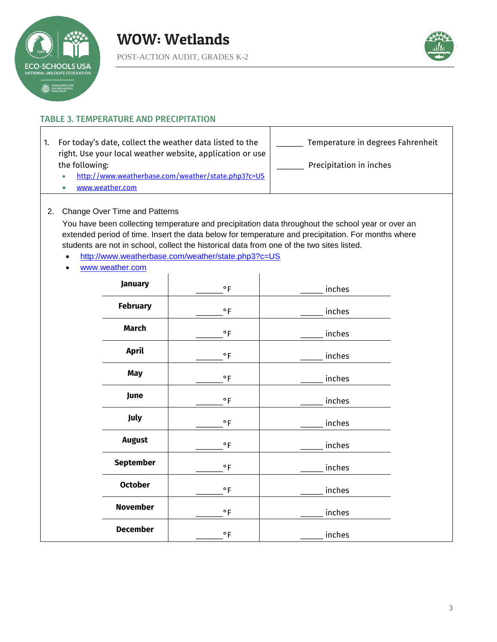



## TABLE 3. TEMPERATURE AND PRECIPITATION

- 1. For today's date, collect the weather data listed to the right. Use your local weather website, application or use the following:
	- <http://www.weatherbase.com/weather/state.php3?c=US>
	- [www.weather.com](http://www.weather.com/)

Temperature in degrees Fahrenheit Precipitation in inches

2. Change Over Time and Patterns

You have been collecting temperature and precipitation data throughout the school year or over an extended period of time. Insert the data below for temperature and precipitation. For months where students are not in school, collect the historical data from one of the two sites listed.

- <http://www.weatherbase.com/weather/state.php3?c=US>
- [www.weather.com](http://www.weather.com/)

| January          | $^{\circ}$ F          | inches |  |
|------------------|-----------------------|--------|--|
| <b>February</b>  | $^{\circ}$ F          | inches |  |
| <b>March</b>     | $\circ$ F             | inches |  |
| April            | $\circ$ F             | inches |  |
| <b>May</b>       | $^{\circ}$ F          | inches |  |
| June             | $^{\circ}$ F          | inches |  |
| July             | $\circ$ F             | inches |  |
| <b>August</b>    | $\circ$ F             | inches |  |
| <b>September</b> | $\circ$ F             | inches |  |
| <b>October</b>   | $^{\circ} \mathsf{F}$ | inches |  |
| <b>November</b>  | $^{\circ} \mathsf{F}$ | inches |  |
| <b>December</b>  | $\circ$ F             | inches |  |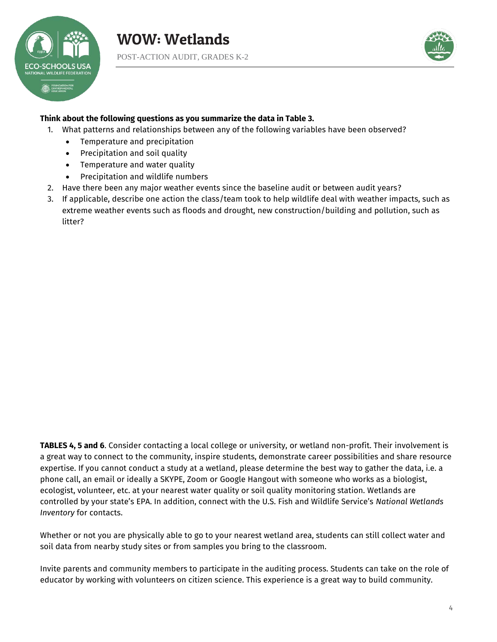



#### **Think about the following questions as you summarize the data in Table 3.**

- 1. What patterns and relationships between any of the following variables have been observed?
	- Temperature and precipitation
	- Precipitation and soil quality
	- Temperature and water quality
	- Precipitation and wildlife numbers
- 2. Have there been any major weather events since the baseline audit or between audit years?
- 3. If applicable, describe one action the class/team took to help wildlife deal with weather impacts, such as extreme weather events such as floods and drought, new construction/building and pollution, such as litter?

**TABLES 4, 5 and 6**. Consider contacting a local college or university, or wetland non-profit. Their involvement is a great way to connect to the community, inspire students, demonstrate career possibilities and share resource expertise. If you cannot conduct a study at a wetland, please determine the best way to gather the data, i.e. a phone call, an email or ideally a SKYPE, Zoom or Google Hangout with someone who works as a biologist, ecologist, volunteer, etc. at your nearest water quality or soil quality monitoring station. Wetlands are controlled by your state's EPA. In addition, connect with the U.S. Fish and Wildlife Service's *National Wetlands Inventory* for contacts.

Whether or not you are physically able to go to your nearest wetland area, students can still collect water and soil data from nearby study sites or from samples you bring to the classroom.

Invite parents and community members to participate in the auditing process. Students can take on the role of educator by working with volunteers on citizen science. This experience is a great way to build community.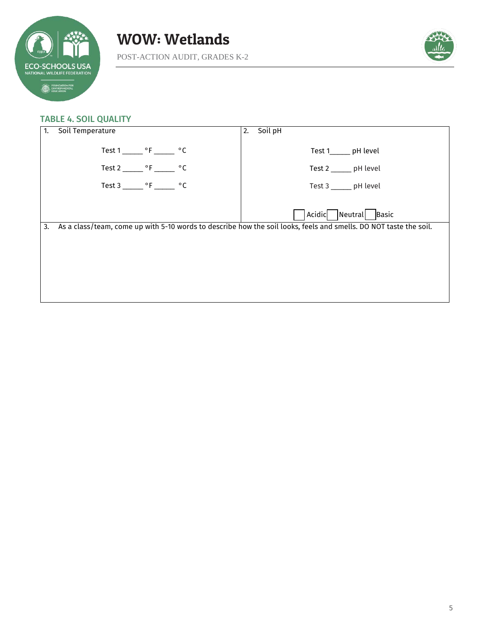



#### TABLE 4. SOIL QUALITY

| 1. | Soil Temperature                                  | Soil pH<br>2.                                                                                                     |
|----|---------------------------------------------------|-------------------------------------------------------------------------------------------------------------------|
|    | Test $1 \_\_\_\$ °F $\_\_\_\$ °C                  | Test 1_______ pH level                                                                                            |
|    | Test 2 ________ $\circ$ F _______<br>$^{\circ}$ C | Test 2 ______ pH level                                                                                            |
|    | Test 3 ________ $\circ$ F ________ $\circ$ C      | Test 3 _______ pH level                                                                                           |
|    |                                                   | Acidic<br>Neutral<br>Basic                                                                                        |
| 3. |                                                   | As a class/team, come up with 5-10 words to describe how the soil looks, feels and smells. DO NOT taste the soil. |
|    |                                                   |                                                                                                                   |
|    |                                                   |                                                                                                                   |
|    |                                                   |                                                                                                                   |
|    |                                                   |                                                                                                                   |
|    |                                                   |                                                                                                                   |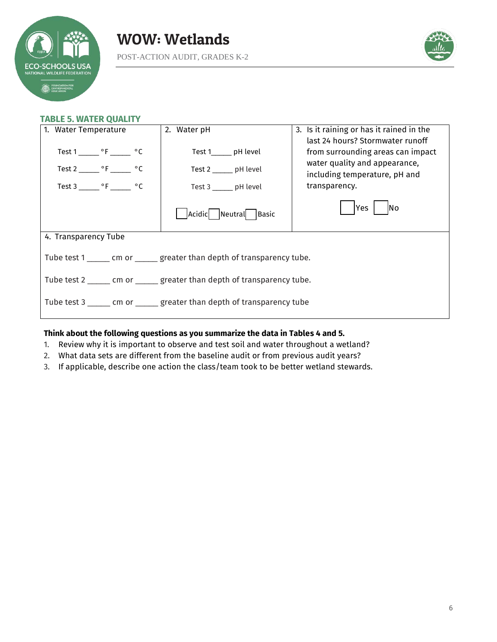



#### **TABLE 5. WATER QUALITY**

| 1. Water Temperature                                                       | 2. Water pH                                       | 3. Is it raining or has it rained in the                                                                                                |  |
|----------------------------------------------------------------------------|---------------------------------------------------|-----------------------------------------------------------------------------------------------------------------------------------------|--|
| Test 1 ________ °F _______ °C<br>Test 2 _______ $\circ$ F ______ $\circ$ C | Test 1_______ pH level<br>Test 2 _______ pH level | last 24 hours? Stormwater runoff<br>from surrounding areas can impact<br>water quality and appearance,<br>including temperature, pH and |  |
| Test 3 <sup>o</sup> F <sup>o</sup> C                                       | Test 3 _______ pH level                           | transparency.                                                                                                                           |  |
|                                                                            | Acidic Neutral Basic                              | <b>Yes</b><br><b>No</b>                                                                                                                 |  |
| 4. Transparency Tube                                                       |                                                   |                                                                                                                                         |  |
| Tube test 1 _______ cm or _______ greater than depth of transparency tube. |                                                   |                                                                                                                                         |  |
| Tube test 2 ______ cm or ______ greater than depth of transparency tube.   |                                                   |                                                                                                                                         |  |
| Tube test 3 ______ cm or ______ greater than depth of transparency tube    |                                                   |                                                                                                                                         |  |

#### **Think about the following questions as you summarize the data in Tables 4 and 5.**

- 1. Review why it is important to observe and test soil and water throughout a wetland?
- 2. What data sets are different from the baseline audit or from previous audit years?
- 3. If applicable, describe one action the class/team took to be better wetland stewards.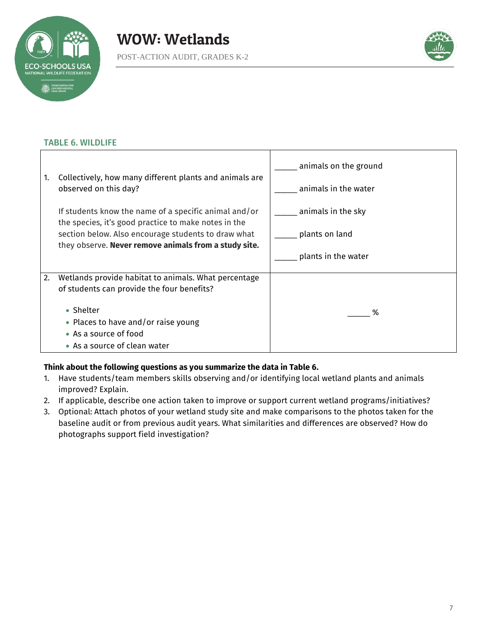



# TABLE 6. WILDLIFE

|    |                                                                                                               | animals on the ground |
|----|---------------------------------------------------------------------------------------------------------------|-----------------------|
| 1. | Collectively, how many different plants and animals are<br>observed on this day?                              | animals in the water  |
|    | If students know the name of a specific animal and/or<br>the species, it's good practice to make notes in the | animals in the sky    |
|    | section below. Also encourage students to draw what<br>they observe. Never remove animals from a study site.  | plants on land        |
|    |                                                                                                               | plants in the water   |
| 2. | Wetlands provide habitat to animals. What percentage                                                          |                       |
|    | of students can provide the four benefits?                                                                    |                       |
|    | • Shelter                                                                                                     |                       |
|    | • Places to have and/or raise young                                                                           | ℅                     |
|    | • As a source of food                                                                                         |                       |
|    | • As a source of clean water                                                                                  |                       |

# **Think about the following questions as you summarize the data in Table 6.**

- 1. Have students/team members skills observing and/or identifying local wetland plants and animals improved? Explain.
- 2. If applicable, describe one action taken to improve or support current wetland programs/initiatives?
- 3. Optional: Attach photos of your wetland study site and make comparisons to the photos taken for the baseline audit or from previous audit years. What similarities and differences are observed? How do photographs support field investigation?